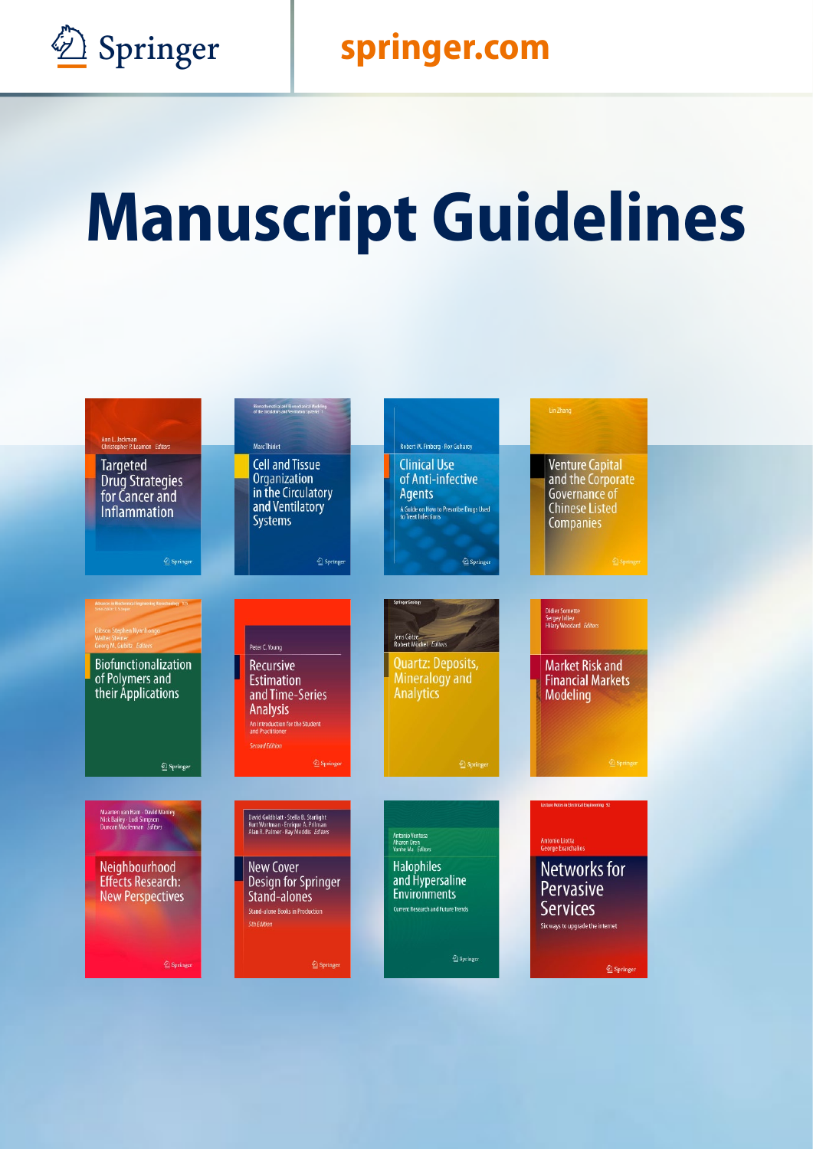

## **Springer Springer.com**

# **Manuscript Guidelines**

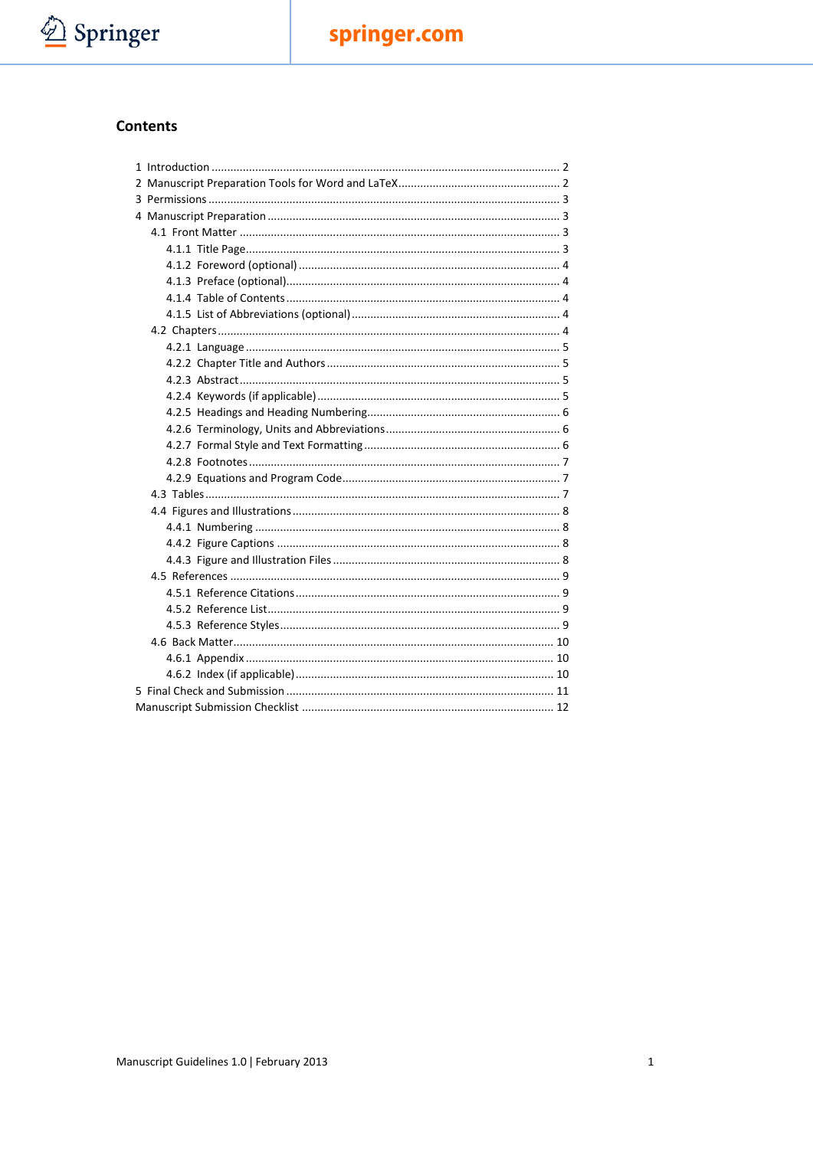

#### Contents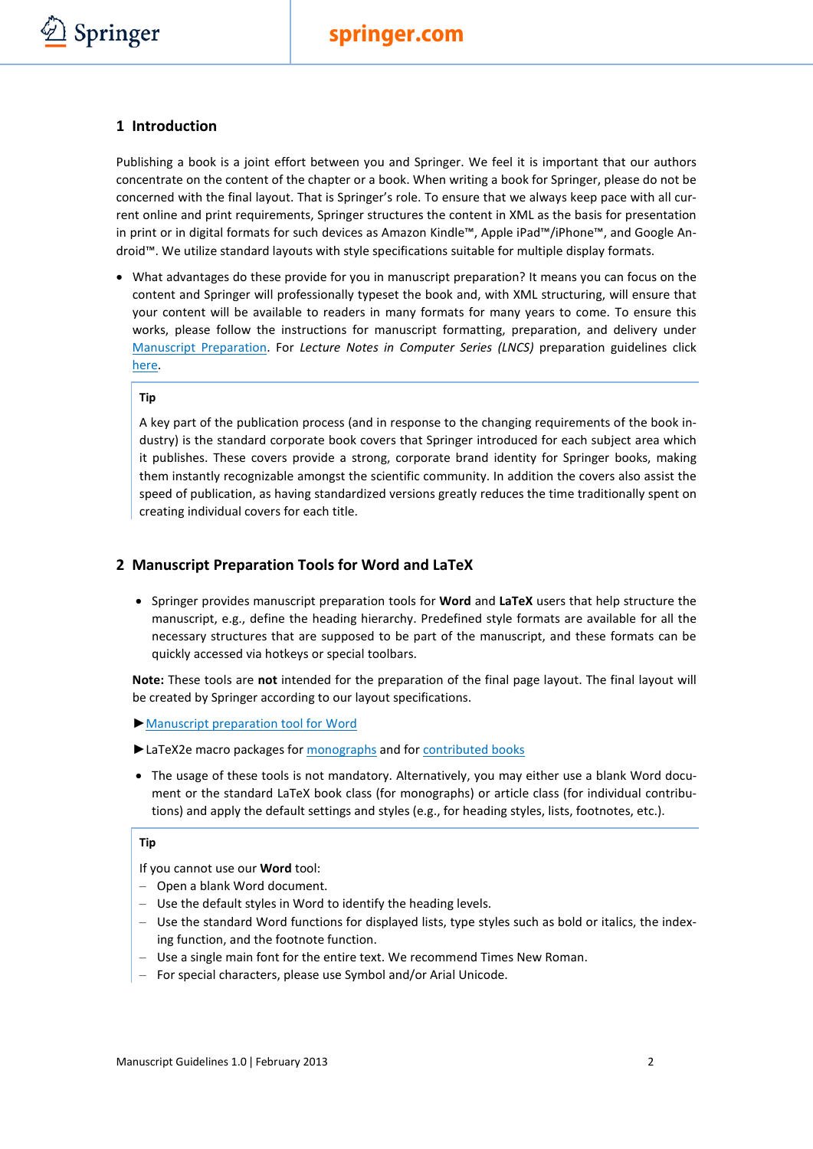

#### <span id="page-2-0"></span>**1 Introduction**

Publishing a book is a joint effort between you and Springer. We feel it is important that our authors concentrate on the content of the chapter or a book. When writing a book for Springer, please do not be concerned with the final layout. That is Springer's role. To ensure that we always keep pace with all current online and print requirements, Springer structures the content in XML as the basis for presentation in print or in digital formats for such devices as Amazon Kindle™, Apple iPad™/iPhone™, and Google Android™. We utilize standard layouts with style specifications suitable for multiple display formats.

• What advantages do these provide for you in manuscript preparation? It means you can focus on the content and Springer will professionally typeset the book and, with XML structuring, will ensure that your content will be available to readers in many formats for many years to come. To ensure this works, please follow the instructions for manuscript formatting, preparation, and delivery under Manuscript Preparation. For *Lecture Notes in Computer Series (LNCS)* preparation guidelines click [here.](http://www.springer.com/computer/lncs?SGWID=0-164-0-0-0)

#### **Tip**

A key part of the publication process (and in response to the changing requirements of the book industry) is the standard corporate book covers that Springer introduced for each subject area which it publishes. These covers provide a strong, corporate brand identity for Springer books, making them instantly recognizable amongst the scientific community. In addition the covers also assist the speed of publication, as having standardized versions greatly reduces the time traditionally spent on creating individual covers for each title.

#### <span id="page-2-1"></span>**2 Manuscript Preparation Tools for Word and LaTeX**

• Springer provides manuscript preparation tools for **Word** and **LaTeX** users that help structure the manuscript, e.g., define the heading hierarchy. Predefined style formats are available for all the necessary structures that are supposed to be part of the manuscript, and these formats can be quickly accessed via hotkeys or special toolbars.

**Note:** These tools are **not** intended for the preparation of the final page layout. The final layout will be created by Springer according to our layout specifications.

- ►[Manuscript preparation tool for](http://www.springer.com/cda/content/document/cda_downloaddocument/T1-book.zip?SGWID=0-0-45-392600-0) Word
- ► LaTeX2e macro packages fo[r monographs](http://www.springer.com/cda/content/document/cda_downloaddocument/svmono.zip?SGWID=0-0-45-491898-0) and for [contributed books](http://www.springer.com/cda/content/document/cda_downloaddocument/svmult.zip?SGWID=0-0-45-491899-0)
- The usage of these tools is not mandatory. Alternatively, you may either use a blank Word document or the standard LaTeX book class (for monographs) or article class (for individual contributions) and apply the default settings and styles (e.g., for heading styles, lists, footnotes, etc.).

#### **Tip**

If you cannot use our **Word** tool:

- Open a blank Word document.
- Use the default styles in Word to identify the heading levels.
- Use the standard Word functions for displayed lists, type styles such as bold or italics, the indexing function, and the footnote function.
- Use a single main font for the entire text. We recommend Times New Roman.
- For special characters, please use Symbol and/or Arial Unicode.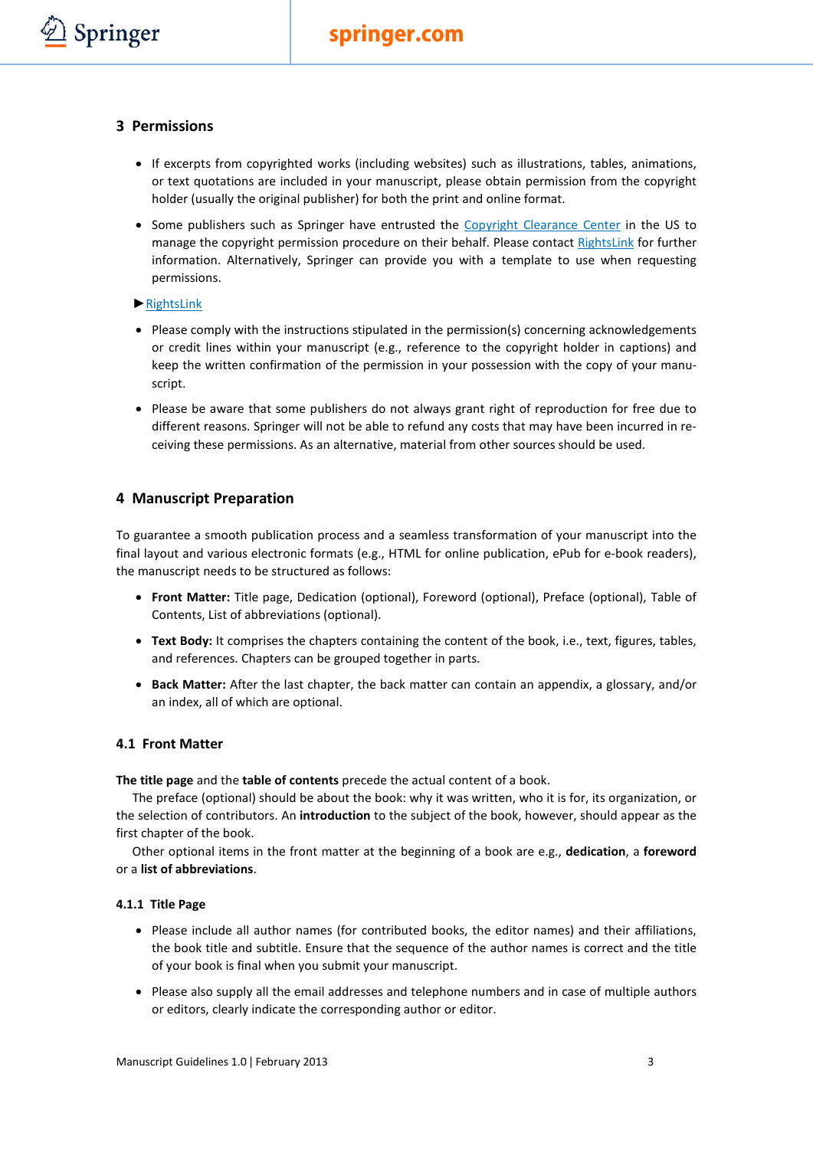#### <span id="page-3-0"></span>**3 Permissions**

Springer

- If excerpts from copyrighted works (including websites) such as illustrations, tables, animations, or text quotations are included in your manuscript, please obtain permission from the copyright holder (usually the original publisher) for both the print and online format.
- Some publishers such as Springer have entrusted the [Copyright Clearance Center](http://www.copyright.com/) in the US to manage the copyright permission procedure on their behalf. Please contact [RightsLink](http://www.copyright.com/content/cc3/en/toolbar/productsAndSolutions/rightslink.html) for further information. Alternatively, Springer can provide you with a template to use when requesting permissions.

#### ►[RightsLink](http://www.copyright.com/content/cc3/en/toolbar/productsAndSolutions/rightslink.html)

- Please comply with the instructions stipulated in the permission(s) concerning acknowledgements or credit lines within your manuscript (e.g., reference to the copyright holder in captions) and keep the written confirmation of the permission in your possession with the copy of your manuscript.
- Please be aware that some publishers do not always grant right of reproduction for free due to different reasons. Springer will not be able to refund any costs that may have been incurred in receiving these permissions. As an alternative, material from other sources should be used.

#### <span id="page-3-1"></span>**4 Manuscript Preparation**

To guarantee a smooth publication process and a seamless transformation of your manuscript into the final layout and various electronic formats (e.g., HTML for online publication, ePub for e-book readers), the manuscript needs to be structured as follows:

- **Front Matter:** Title page, Dedication (optional), Foreword (optional), Preface (optional), Table of Contents, List of abbreviations (optional).
- **Text Body:** It comprises the chapters containing the content of the book, i.e., text, figures, tables, and references. Chapters can be grouped together in parts.
- **Back Matter:** After the last chapter, the back matter can contain an appendix, a glossary, and/or an index, all of which are optional.

#### <span id="page-3-2"></span>**4.1 Front Matter**

**The title page** and the **table of contents** precede the actual content of a book.

The preface (optional) should be about the book: why it was written, who it is for, its organization, or the selection of contributors. An **introduction** to the subject of the book, however, should appear as the first chapter of the book.

Other optional items in the front matter at the beginning of a book are e.g., **dedication**, a **foreword** or a **list of abbreviations**.

#### <span id="page-3-3"></span>**4.1.1 Title Page**

- Please include all author names (for contributed books, the editor names) and their affiliations, the book title and subtitle. Ensure that the sequence of the author names is correct and the title of your book is final when you submit your manuscript.
- Please also supply all the email addresses and telephone numbers and in case of multiple authors or editors, clearly indicate the corresponding author or editor.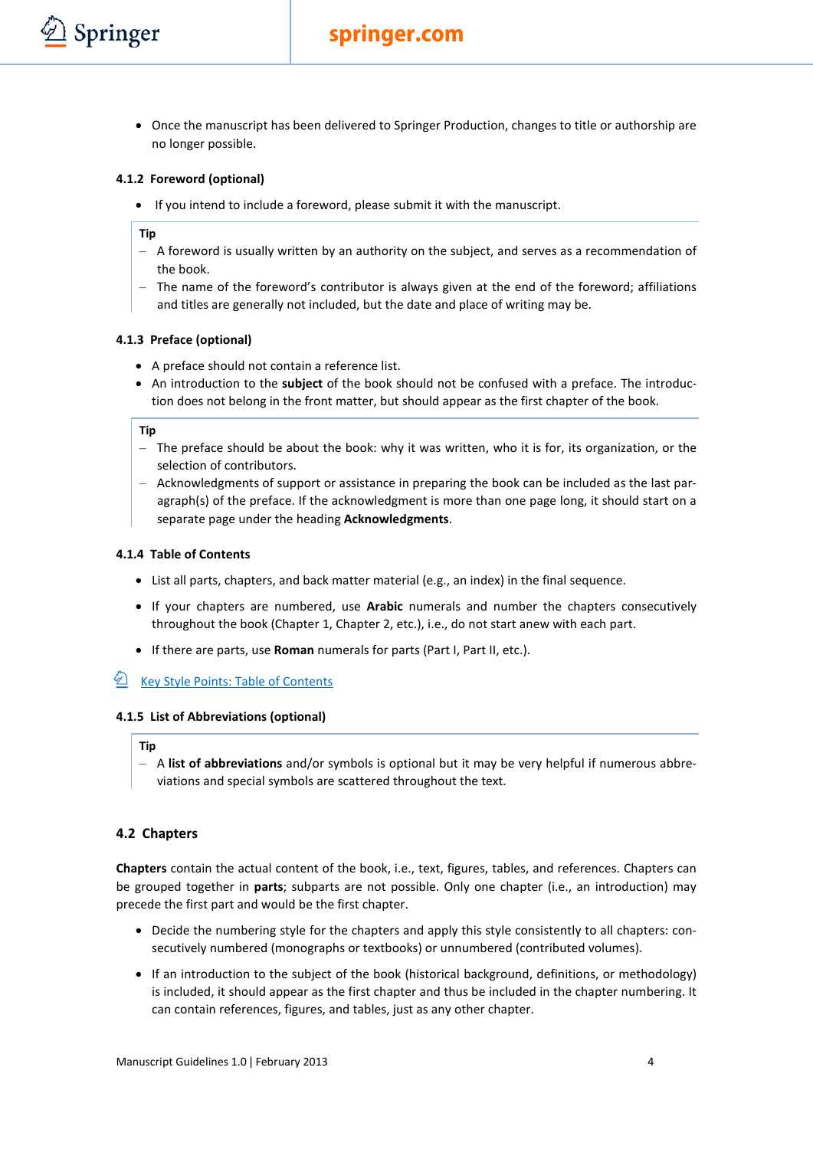## **springer.com**

• Once the manuscript has been delivered to Springer Production, changes to title or authorship are no longer possible.

#### <span id="page-4-0"></span>**4.1.2 Foreword (optional)**

• If you intend to include a foreword, please submit it with the manuscript.

#### **Tip**

Springer

- A foreword is usually written by an authority on the subject, and serves as a recommendation of the book.
- The name of the foreword's contributor is always given at the end of the foreword; affiliations and titles are generally not included, but the date and place of writing may be.

#### <span id="page-4-1"></span>**4.1.3 Preface (optional)**

- A preface should not contain a reference list.
- An introduction to the **subject** of the book should not be confused with a preface. The introduction does not belong in the front matter, but should appear as the first chapter of the book.

#### **Tip**

- The preface should be about the book: why it was written, who it is for, its organization, or the selection of contributors.
- Acknowledgments of support or assistance in preparing the book can be included as the last paragraph(s) of the preface. If the acknowledgment is more than one page long, it should start on a separate page under the heading **Acknowledgments**.

#### <span id="page-4-2"></span>**4.1.4 Table of Contents**

- List all parts, chapters, and back matter material (e.g., an index) in the final sequence.
- If your chapters are numbered, use **Arabic** numerals and number the chapters consecutively throughout the book (Chapter 1, Chapter 2, etc.), i.e., do not start anew with each part.
- If there are parts, use **Roman** numerals for parts (Part I, Part II, etc.).

## [Key Style Points: Table of Contents](http://www.springer.com/cda/content/document/cda_downloaddocument/Key_Style_Points_TOC.pdf?SGWID=0-0-45-1330661-0)

#### <span id="page-4-3"></span>**4.1.5 List of Abbreviations (optional)**

#### **Tip**

– A **list of abbreviations** and/or symbols is optional but it may be very helpful if numerous abbreviations and special symbols are scattered throughout the text.

#### <span id="page-4-4"></span>**4.2 Chapters**

**Chapters** contain the actual content of the book, i.e., text, figures, tables, and references. Chapters can be grouped together in **parts**; subparts are not possible. Only one chapter (i.e., an introduction) may precede the first part and would be the first chapter.

- Decide the numbering style for the chapters and apply this style consistently to all chapters: consecutively numbered (monographs or textbooks) or unnumbered (contributed volumes).
- If an introduction to the subject of the book (historical background, definitions, or methodology) is included, it should appear as the first chapter and thus be included in the chapter numbering. It can contain references, figures, and tables, just as any other chapter.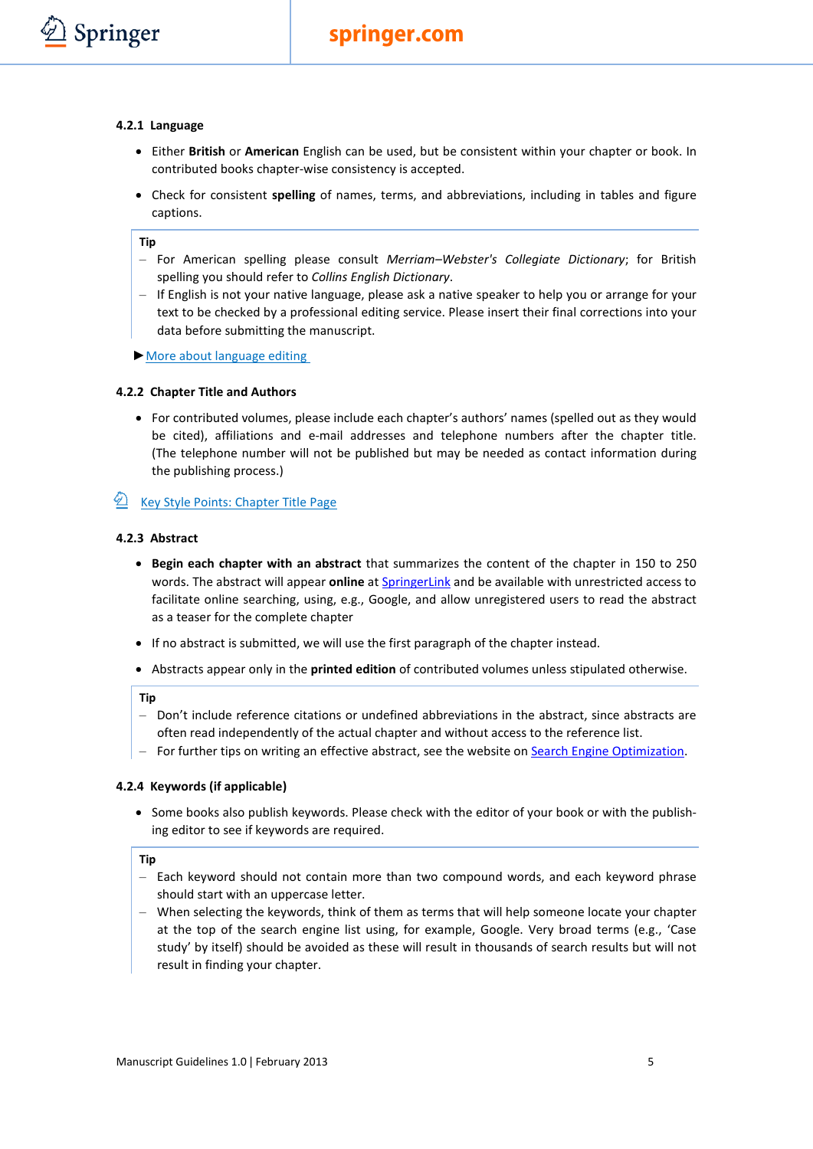#### <span id="page-5-0"></span>**4.2.1 Language**

- Either **British** or **American** English can be used, but be consistent within your chapter or book. In contributed books chapter-wise consistency is accepted.
- Check for consistent **spelling** of names, terms, and abbreviations, including in tables and figure captions.

#### **Tip**

- For American spelling please consult *Merriam–Webster's Collegiate Dictionary*; for British spelling you should refer to *Collins English Dictionary*.
- If English is not your native language, please ask a native speaker to help you or arrange for your text to be checked by a professional editing service. Please insert their final corrections into your data before submitting the manuscript.
- ►[More about language editing](http://www.springer.com/authors/journal+authors/journal+authors+academy?SGWID=0-1726414-12-849104-0)

#### <span id="page-5-1"></span>**4.2.2 Chapter Title and Authors**

• For contributed volumes, please include each chapter's authors' names (spelled out as they would be cited), affiliations and e-mail addresses and telephone numbers after the chapter title. (The telephone number will not be published but may be needed as contact information during the publishing process.)

## <span id="page-5-2"></span>**E** [Key Style Points: Chapter Title Page](http://www.springer.com/cda/content/document/cda_downloaddocument/Key_Style_Points_ChapTitleP.pdf?SGWID=0-0-45-1330662-0)

#### **4.2.3 Abstract**

- **Begin each chapter with an abstract** that summarizes the content of the chapter in 150 to 250 words. The abstract will appear **online** at [SpringerLink](http://link.springer.com/) and be available with unrestricted access to facilitate online searching, using, e.g., Google, and allow unregistered users to read the abstract as a teaser for the complete chapter
- If no abstract is submitted, we will use the first paragraph of the chapter instead.
- Abstracts appear only in the **printed edition** of contributed volumes unless stipulated otherwise.

#### **Tip**

- Don't include reference citations or undefined abbreviations in the abstract, since abstracts are often read independently of the actual chapter and without access to the reference list.
- For further tips on writing an effective abstract, see the website on [Search Engine Optimization.](http://www.springer.com/authors/author+zone?SGWID=0-168002-12-945107-0)

#### <span id="page-5-3"></span>**4.2.4 Keywords (if applicable)**

• Some books also publish keywords. Please check with the editor of your book or with the publishing editor to see if keywords are required.

- Each keyword should not contain more than two compound words, and each keyword phrase should start with an uppercase letter.
- <span id="page-5-4"></span>– When selecting the keywords, think of them as terms that will help someone locate your chapter at the top of the search engine list using, for example, Google. Very broad terms (e.g., 'Case study' by itself) should be avoided as these will result in thousands of search results but will not result in finding your chapter.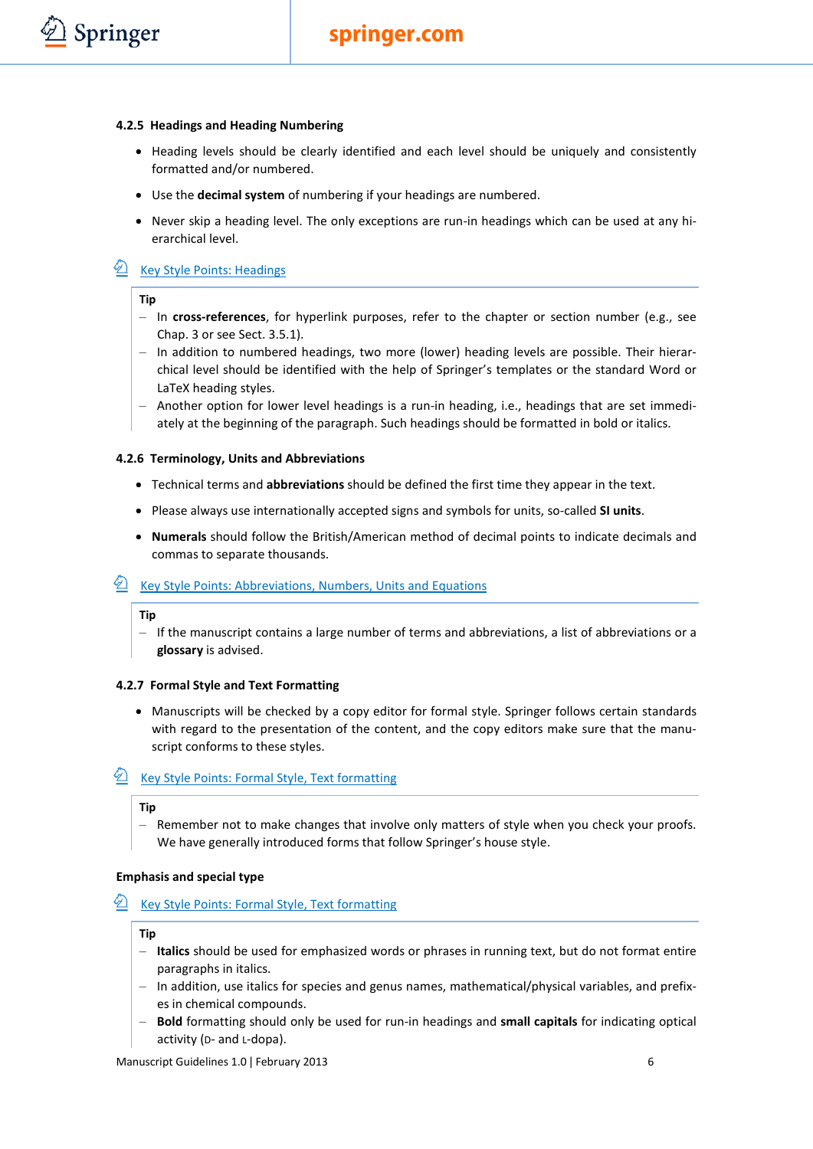#### **4.2.5 Headings and Heading Numbering**

- Heading levels should be clearly identified and each level should be uniquely and consistently formatted and/or numbered.
- Use the **decimal system** of numbering if your headings are numbered.
- Never skip a heading level. The only exceptions are run-in headings which can be used at any hierarchical level.

## **E** [Key Style Points: Headings](http://www.springer.com/cda/content/document/cda_downloaddocument/Key_Style_Points_Headings.pdf?SGWID=0-0-45-1330663-0)

#### **Tip**

Springer

- In **cross-references**, for hyperlink purposes, refer to the chapter or section number (e.g., see Chap. 3 or see Sect. 3.5.1).
- In addition to numbered headings, two more (lower) heading levels are possible. Their hierarchical level should be identified with the help of Springer's templates or the standard Word or LaTeX heading styles.
- Another option for lower level headings is a run-in heading, i.e., headings that are set immediately at the beginning of the paragraph. Such headings should be formatted in bold or italics.

#### <span id="page-6-0"></span>**4.2.6 Terminology, Units and Abbreviations**

- Technical terms and **abbreviations** should be defined the first time they appear in the text.
- Please always use internationally accepted signs and symbols for units, so-called **SI units**.
- **Numerals** should follow the British/American method of decimal points to indicate decimals and commas to separate thousands.

## **E** [Key Style Points: Abbreviations, Numbers, Units and Equations](http://www.springer.com/cda/content/document/cda_downloaddocument/Key_Style_Points_Abbrev.pdf?SGWID=0-0-45-1330664-0)

#### **Tip**

– If the manuscript contains a large number of terms and abbreviations, a list of abbreviations or a **glossary** is advised.

#### <span id="page-6-1"></span>**4.2.7 Formal Style and Text Formatting**

• Manuscripts will be checked by a copy editor for formal style. Springer follows certain standards with regard to the presentation of the content, and the copy editors make sure that the manuscript conforms to these styles.

## **E** [Key Style Points: Formal Style, Text formatting](http://www.springer.com/cda/content/document/cda_downloaddocument/Key_Style_Points_TextFormat.pdf?SGWID=0-0-45-1330665-0)

#### **Tip**

– Remember not to make changes that involve only matters of style when you check your proofs. We have generally introduced forms that follow Springer's house style.

#### **Emphasis and special type**

## **E** [Key Style Points: Formal Style, Text formatting](http://www.springer.com/cda/content/document/cda_downloaddocument/Key_Style_Points_TextFormat.pdf?SGWID=0-0-45-1330665-0)

#### **Tip**

- **Italics** should be used for emphasized words or phrases in running text, but do not format entire paragraphs in italics.
- In addition, use italics for species and genus names, mathematical/physical variables, and prefixes in chemical compounds.
- **Bold** formatting should only be used for run-in headings and **small capitals** for indicating optical activity (D- and L-dopa).

Manuscript Guidelines 1.0 | February 2013 6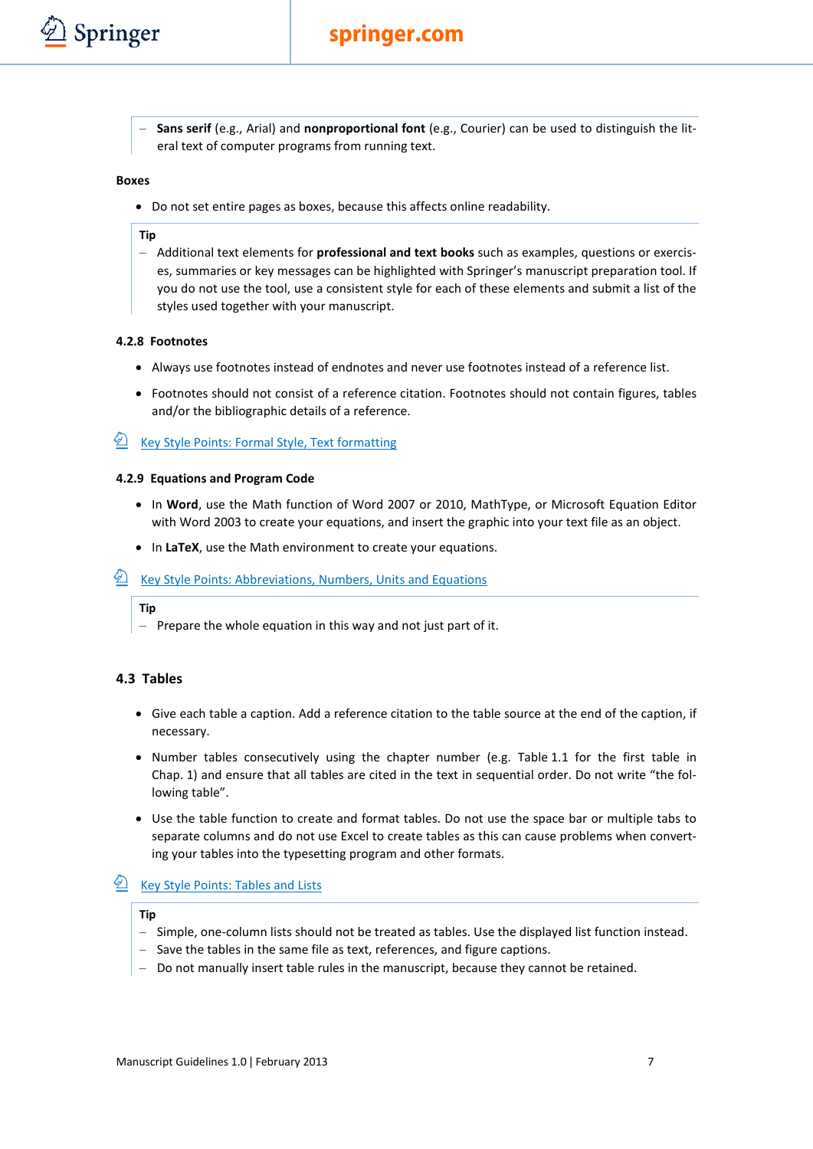

– **Sans serif** (e.g., Arial) and **nonproportional font** (e.g., Courier) can be used to distinguish the literal text of computer programs from running text.

#### **Boxes**

• Do not set entire pages as boxes, because this affects online readability.

#### **Tip**

– Additional text elements for **professional and text books** such as examples, questions or exercises, summaries or key messages can be highlighted with Springer's manuscript preparation tool. If you do not use the tool, use a consistent style for each of these elements and submit a list of the styles used together with your manuscript.

#### <span id="page-7-0"></span>**4.2.8 Footnotes**

- Always use footnotes instead of endnotes and never use footnotes instead of a reference list.
- Footnotes should not consist of a reference citation. Footnotes should not contain figures, tables and/or the bibliographic details of a reference.

## <span id="page-7-1"></span>**E** [Key Style Points: Formal Style, Text formatting](http://www.springer.com/cda/content/document/cda_downloaddocument/Key_Style_Points_TextFormat.pdf?SGWID=0-0-45-1330665-0)

#### **4.2.9 Equations and Program Code**

- In **Word**, use the Math function of Word 2007 or 2010, MathType, or Microsoft Equation Editor with Word 2003 to create your equations, and insert the graphic into your text file as an object.
- In **LaTeX**, use the Math environment to create your equations.

## **E** [Key Style Points: Abbreviations, Numbers, Units and Equations](http://www.springer.com/cda/content/document/cda_downloaddocument/Key_Style_Points_Abbrev.pdf?SGWID=0-0-45-1330664-0)

#### **Tip**

<span id="page-7-2"></span>– Prepare the whole equation in this way and not just part of it.

#### **4.3 Tables**

- Give each table a caption. Add a reference citation to the table source at the end of the caption, if necessary.
- Number tables consecutively using the chapter number (e.g. Table 1.1 for the first table in Chap. 1) and ensure that all tables are cited in the text in sequential order. Do not write "the following table".
- Use the table function to create and format tables. Do not use the space bar or multiple tabs to separate columns and do not use Excel to create tables as this can cause problems when converting your tables into the typesetting program and other formats.

## **E** [Key Style Points: Tables and Lists](http://www.springer.com/cda/content/document/cda_downloaddocument/Key_Style_Points_Tables.pdf?SGWID=0-0-45-1330666-0)

- Simple, one-column lists should not be treated as tables. Use the displayed list function instead.
- Save the tables in the same file as text, references, and figure captions.
- Do not manually insert table rules in the manuscript, because they cannot be retained.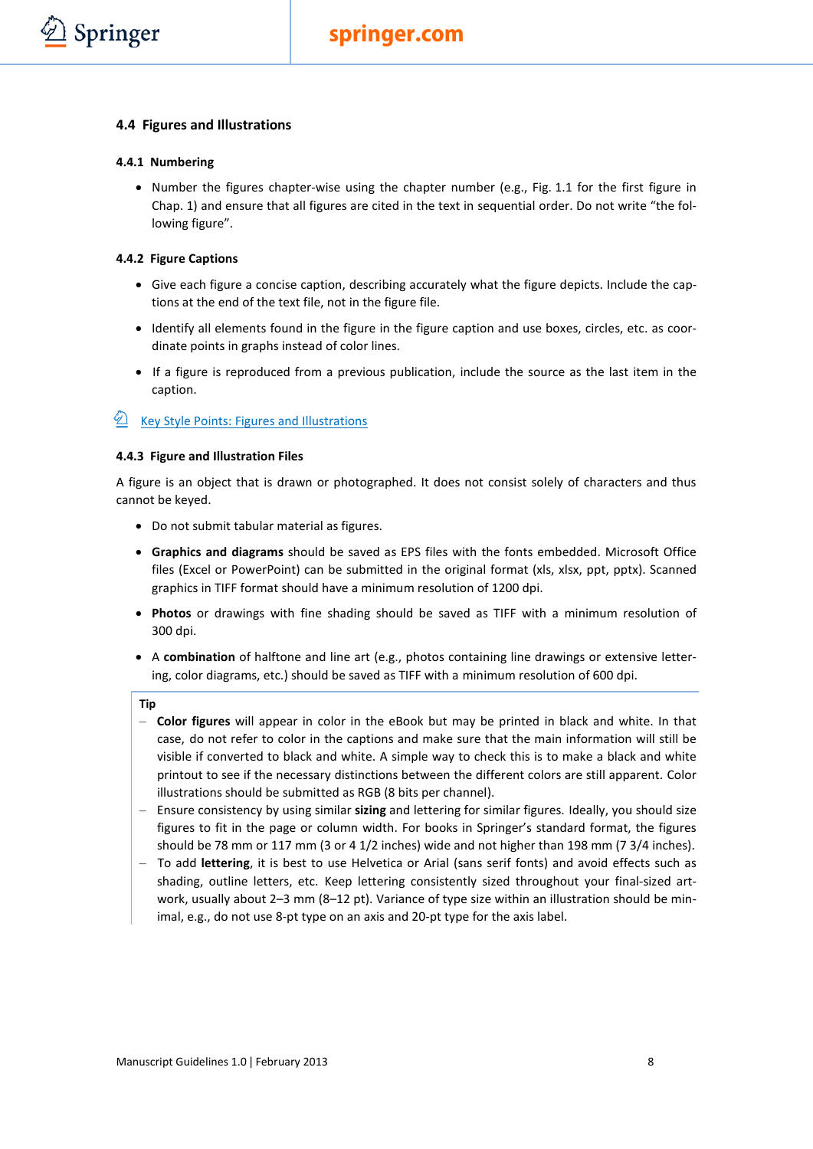#### <span id="page-8-0"></span>**4.4 Figures and Illustrations**

#### <span id="page-8-1"></span>**4.4.1 Numbering**

• Number the figures chapter-wise using the chapter number (e.g., Fig. 1.1 for the first figure in Chap. 1) and ensure that all figures are cited in the text in sequential order. Do not write "the following figure".

#### <span id="page-8-2"></span>**4.4.2 Figure Captions**

- Give each figure a concise caption, describing accurately what the figure depicts. Include the captions at the end of the text file, not in the figure file.
- Identify all elements found in the figure in the figure caption and use boxes, circles, etc. as coordinate points in graphs instead of color lines.
- If a figure is reproduced from a previous publication, include the source as the last item in the caption.

## <span id="page-8-3"></span> $\hat{Z}$  [Key Style Points: Figures and Illustrations](http://www.springer.com/cda/content/document/cda_downloaddocument/Key_Style_Points_Figs.pdf?SGWID=0-0-45-1330667-0)

#### **4.4.3 Figure and Illustration Files**

A figure is an object that is drawn or photographed. It does not consist solely of characters and thus cannot be keyed.

- Do not submit tabular material as figures.
- **Graphics and diagrams** should be saved as EPS files with the fonts embedded. Microsoft Office files (Excel or PowerPoint) can be submitted in the original format (xls, xlsx, ppt, pptx). Scanned graphics in TIFF format should have a minimum resolution of 1200 dpi.
- **Photos** or drawings with fine shading should be saved as TIFF with a minimum resolution of 300 dpi.
- A **combination** of halftone and line art (e.g., photos containing line drawings or extensive lettering, color diagrams, etc.) should be saved as TIFF with a minimum resolution of 600 dpi.

- **Color figures** will appear in color in the eBook but may be printed in black and white. In that case, do not refer to color in the captions and make sure that the main information will still be visible if converted to black and white. A simple way to check this is to make a black and white printout to see if the necessary distinctions between the different colors are still apparent. Color illustrations should be submitted as RGB (8 bits per channel).
- Ensure consistency by using similar **sizing** and lettering for similar figures. Ideally, you should size figures to fit in the page or column width. For books in Springer's standard format, the figures should be 78 mm or 117 mm (3 or 4 1/2 inches) wide and not higher than 198 mm (7 3/4 inches).
- To add **lettering**, it is best to use Helvetica or Arial (sans serif fonts) and avoid effects such as shading, outline letters, etc. Keep lettering consistently sized throughout your final-sized artwork, usually about 2–3 mm (8–12 pt). Variance of type size within an illustration should be minimal, e.g., do not use 8-pt type on an axis and 20-pt type for the axis label.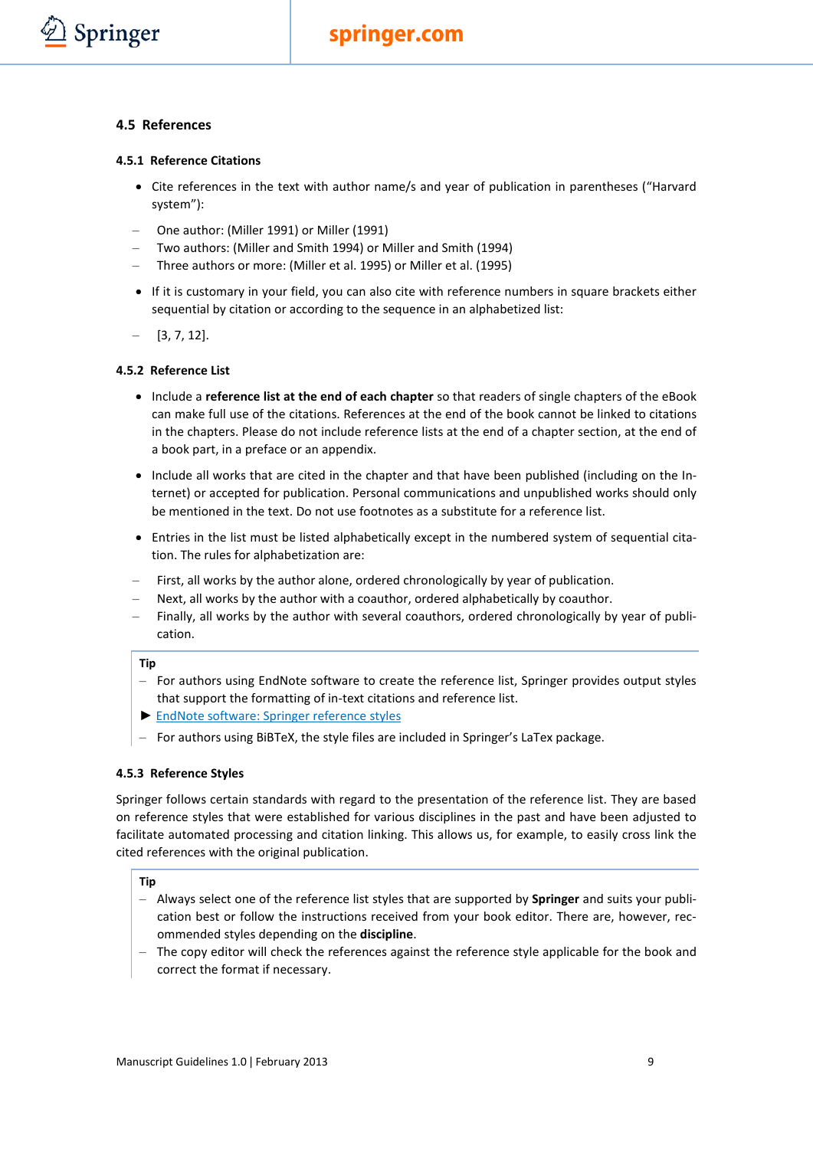#### <span id="page-9-0"></span>**4.5 References**

Springer

#### <span id="page-9-1"></span>**4.5.1 Reference Citations**

- Cite references in the text with author name/s and year of publication in parentheses ("Harvard system"):
- One author: (Miller 1991) or Miller (1991)
- Two authors: (Miller and Smith 1994) or Miller and Smith (1994)
- Three authors or more: (Miller et al. 1995) or Miller et al. (1995)
- If it is customary in your field, you can also cite with reference numbers in square brackets either sequential by citation or according to the sequence in an alphabetized list:
- $[3, 7, 12]$ .

#### <span id="page-9-2"></span>**4.5.2 Reference List**

- Include a **reference list at the end of each chapter** so that readers of single chapters of the eBook can make full use of the citations. References at the end of the book cannot be linked to citations in the chapters. Please do not include reference lists at the end of a chapter section, at the end of a book part, in a preface or an appendix.
- Include all works that are cited in the chapter and that have been published (including on the Internet) or accepted for publication. Personal communications and unpublished works should only be mentioned in the text. Do not use footnotes as a substitute for a reference list.
- Entries in the list must be listed alphabetically except in the numbered system of sequential citation. The rules for alphabetization are:
- First, all works by the author alone, ordered chronologically by year of publication.
- Next, all works by the author with a coauthor, ordered alphabetically by coauthor.
- Finally, all works by the author with several coauthors, ordered chronologically by year of publication.

#### **Tip**

- For authors using EndNote software to create the reference list, Springer provides output styles that support the formatting of in-text citations and reference list.
- ► [EndNote software: Springer reference](http://www.springer.com/cda/content/document/cda_downloaddocument/SpringerEndnoteStyles_Books.zip?SGWID=0-0-45-946637-0) styles
- For authors using BiBTeX, the style files are included in Springer's LaTex package.

#### <span id="page-9-3"></span>**4.5.3 Reference Styles**

Springer follows certain standards with regard to the presentation of the reference list. They are based on reference styles that were established for various disciplines in the past and have been adjusted to facilitate automated processing and citation linking. This allows us, for example, to easily cross link the cited references with the original publication.

- Always select one of the reference list styles that are supported by **Springer** and suits your publication best or follow the instructions received from your book editor. There are, however, recommended styles depending on the **discipline**.
- The copy editor will check the references against the reference style applicable for the book and correct the format if necessary.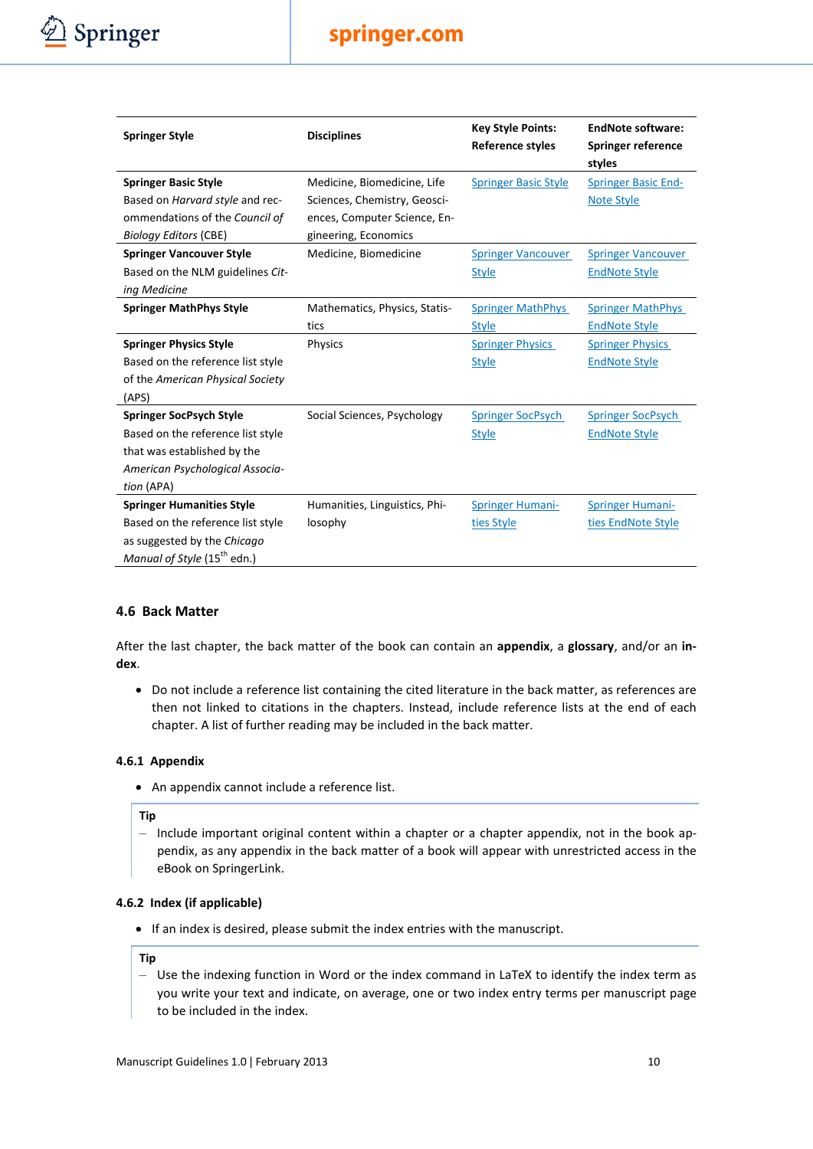

| <b>Springer Style</b>                   | <b>Disciplines</b>            | <b>Key Style Points:</b><br><b>Reference styles</b> | <b>EndNote software:</b><br><b>Springer reference</b> |
|-----------------------------------------|-------------------------------|-----------------------------------------------------|-------------------------------------------------------|
| <b>Springer Basic Style</b>             | Medicine, Biomedicine, Life   | <b>Springer Basic Style</b>                         | styles<br><b>Springer Basic End-</b>                  |
| Based on Harvard style and rec-         | Sciences, Chemistry, Geosci-  |                                                     | <b>Note Style</b>                                     |
| ommendations of the Council of          | ences, Computer Science, En-  |                                                     |                                                       |
| <b>Biology Editors (CBE)</b>            | gineering, Economics          |                                                     |                                                       |
| <b>Springer Vancouver Style</b>         | Medicine, Biomedicine         | <b>Springer Vancouver</b>                           | <b>Springer Vancouver</b>                             |
| Based on the NLM guidelines Cit-        |                               | <b>Style</b>                                        | <b>EndNote Style</b>                                  |
| ing Medicine                            |                               |                                                     |                                                       |
| <b>Springer MathPhys Style</b>          | Mathematics, Physics, Statis- | <b>Springer MathPhys</b>                            | <b>Springer MathPhys</b>                              |
|                                         | tics                          | <b>Style</b>                                        | <b>EndNote Style</b>                                  |
| <b>Springer Physics Style</b>           | Physics                       | <b>Springer Physics</b>                             | <b>Springer Physics</b>                               |
| Based on the reference list style       |                               | <b>Style</b>                                        | <b>EndNote Style</b>                                  |
| of the American Physical Society        |                               |                                                     |                                                       |
| (APS)                                   |                               |                                                     |                                                       |
| <b>Springer SocPsych Style</b>          | Social Sciences, Psychology   | <b>Springer SocPsych</b>                            | <b>Springer SocPsych</b>                              |
| Based on the reference list style       |                               | <b>Style</b>                                        | <b>EndNote Style</b>                                  |
| that was established by the             |                               |                                                     |                                                       |
| American Psychological Associa-         |                               |                                                     |                                                       |
| tion (APA)                              |                               |                                                     |                                                       |
| <b>Springer Humanities Style</b>        | Humanities, Linguistics, Phi- | <b>Springer Humani-</b>                             | <b>Springer Humani-</b>                               |
| Based on the reference list style       | losophy                       | ties Style                                          | ties EndNote Style                                    |
| as suggested by the Chicago             |                               |                                                     |                                                       |
| Manual of Style (15 <sup>th</sup> edn.) |                               |                                                     |                                                       |

#### <span id="page-10-0"></span>**4.6 Back Matter**

After the last chapter, the back matter of the book can contain an **appendix**, a **glossary**, and/or an **index**.

• Do not include a reference list containing the cited literature in the back matter, as references are then not linked to citations in the chapters. Instead, include reference lists at the end of each chapter. A list of further reading may be included in the back matter.

#### <span id="page-10-1"></span>**4.6.1 Appendix**

• An appendix cannot include a reference list.

#### **Tip**

– Include important original content within a chapter or a chapter appendix, not in the book appendix, as any appendix in the back matter of a book will appear with unrestricted access in the eBook on SpringerLink.

#### <span id="page-10-2"></span>**4.6.2 Index (if applicable)**

• If an index is desired, please submit the index entries with the manuscript.

#### **Tip**

– Use the indexing function in Word or the index command in LaTeX to identify the index term as you write your text and indicate, on average, one or two index entry terms per manuscript page to be included in the index.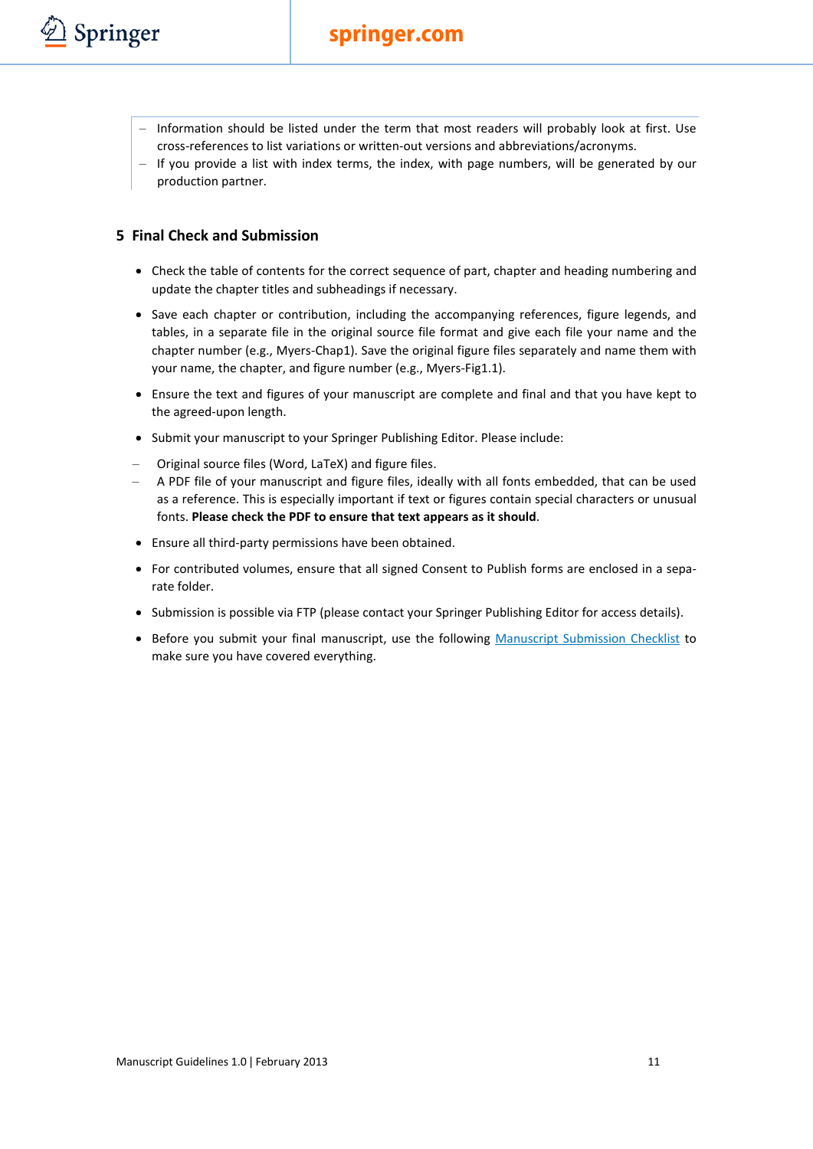- Information should be listed under the term that most readers will probably look at first. Use cross-references to list variations or written-out versions and abbreviations/acronyms.
- If you provide a list with index terms, the index, with page numbers, will be generated by our production partner.

#### <span id="page-11-0"></span>**5 Final Check and Submission**

- Check the table of contents for the correct sequence of part, chapter and heading numbering and update the chapter titles and subheadings if necessary.
- Save each chapter or contribution, including the accompanying references, figure legends, and tables, in a separate file in the original source file format and give each file your name and the chapter number (e.g., Myers-Chap1). Save the original figure files separately and name them with your name, the chapter, and figure number (e.g., Myers-Fig1.1).
- Ensure the text and figures of your manuscript are complete and final and that you have kept to the agreed-upon length.
- Submit your manuscript to your Springer Publishing Editor. Please include:
- Original source files (Word, LaTeX) and figure files.
- A PDF file of your manuscript and figure files, ideally with all fonts embedded, that can be used as a reference. This is especially important if text or figures contain special characters or unusual fonts. **Please check the PDF to ensure that text appears as it should**.
- Ensure all third-party permissions have been obtained.
- For contributed volumes, ensure that all signed Consent to Publish forms are enclosed in a separate folder.
- Submission is possible via FTP (please contact your Springer Publishing Editor for access details).
- Before you submit your final manuscript, use the following [Manuscript Submission Checklist](http://www.springer.com/cda/content/document/cda_downloaddocument/MS_Checklist.pdf?SGWID=0-0-45-1330674-0) to make sure you have covered everything.